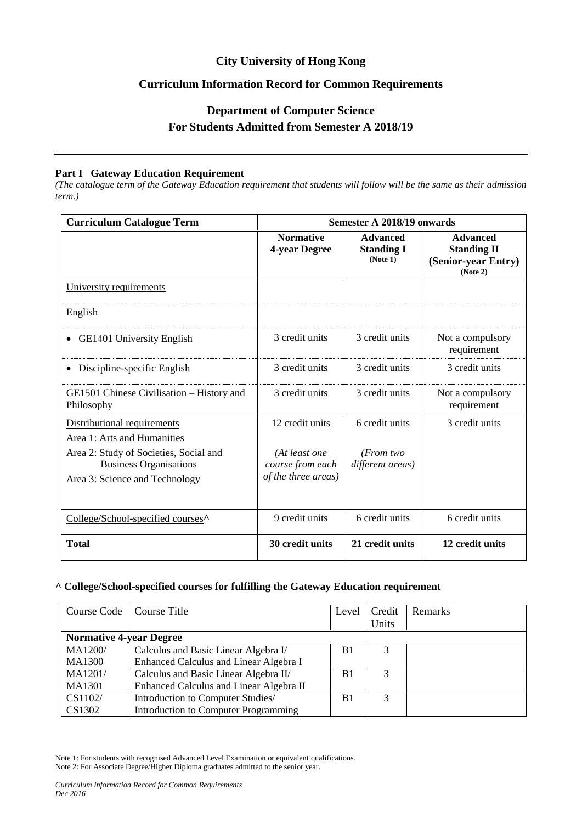# **City University of Hong Kong**

# **Curriculum Information Record for Common Requirements**

# **Department of Computer Science For Students Admitted from Semester A 2018/19**

#### **Part I Gateway Education Requirement**

*(The catalogue term of the Gateway Education requirement that students will follow will be the same as their admission term.)*

| <b>Curriculum Catalogue Term</b>                                                                          | <b>Semester A 2018/19 onwards</b>                        |                                                  |                                                                          |  |
|-----------------------------------------------------------------------------------------------------------|----------------------------------------------------------|--------------------------------------------------|--------------------------------------------------------------------------|--|
|                                                                                                           | <b>Normative</b><br>4-year Degree                        | <b>Advanced</b><br><b>Standing I</b><br>(Note 1) | <b>Advanced</b><br><b>Standing II</b><br>(Senior-year Entry)<br>(Note 2) |  |
| University requirements                                                                                   |                                                          |                                                  |                                                                          |  |
| English                                                                                                   |                                                          |                                                  |                                                                          |  |
| GE1401 University English                                                                                 | 3 credit units                                           | 3 credit units                                   | Not a compulsory<br>requirement                                          |  |
| Discipline-specific English                                                                               | 3 credit units                                           | 3 credit units                                   | 3 credit units                                                           |  |
| GE1501 Chinese Civilisation – History and<br>Philosophy                                                   | 3 credit units                                           | 3 credit units                                   | Not a compulsory<br>requirement                                          |  |
| Distributional requirements<br>Area 1: Arts and Humanities                                                | 12 credit units                                          | 6 credit units                                   | 3 credit units                                                           |  |
| Area 2: Study of Societies, Social and<br><b>Business Organisations</b><br>Area 3: Science and Technology | (At least one<br>course from each<br>of the three areas) | (From two<br>different areas)                    |                                                                          |  |
| College/School-specified courses <sup>^</sup>                                                             | 9 credit units                                           | 6 credit units                                   | 6 credit units                                                           |  |
| <b>Total</b>                                                                                              | 30 credit units                                          | 21 credit units                                  | 12 credit units                                                          |  |

### **^ College/School-specified courses for fulfilling the Gateway Education requirement**

| Course Code                    | Course Title                                | Level          | Credit<br>Units | <b>Remarks</b> |
|--------------------------------|---------------------------------------------|----------------|-----------------|----------------|
| <b>Normative 4-year Degree</b> |                                             |                |                 |                |
| <b>MA1200/</b>                 | Calculus and Basic Linear Algebra I/        | B1             |                 |                |
| <b>MA1300</b>                  | Enhanced Calculus and Linear Algebra I      |                |                 |                |
| MA1201/                        | Calculus and Basic Linear Algebra II/       | B <sub>1</sub> | 3               |                |
| <b>MA1301</b>                  | Enhanced Calculus and Linear Algebra II     |                |                 |                |
| CS1102/                        | Introduction to Computer Studies/           | B <sub>1</sub> | 3               |                |
| CS1302                         | <b>Introduction to Computer Programming</b> |                |                 |                |

Note 1: For students with recognised Advanced Level Examination or equivalent qualifications. Note 2: For Associate Degree/Higher Diploma graduates admitted to the senior year.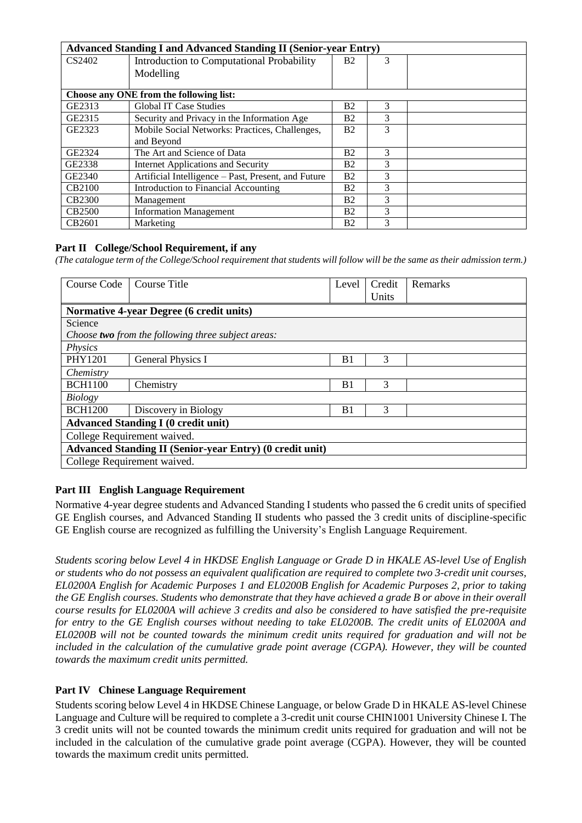| <b>Advanced Standing I and Advanced Standing II (Senior-year Entry)</b> |                                                     |                |   |  |
|-------------------------------------------------------------------------|-----------------------------------------------------|----------------|---|--|
| CS2402                                                                  | Introduction to Computational Probability           | <b>B2</b>      | 3 |  |
|                                                                         | Modelling                                           |                |   |  |
|                                                                         |                                                     |                |   |  |
| Choose any ONE from the following list:                                 |                                                     |                |   |  |
| GE2313                                                                  | <b>Global IT Case Studies</b>                       | <b>B2</b>      | 3 |  |
| GE2315                                                                  | Security and Privacy in the Information Age         | Β2             | 3 |  |
| GE2323                                                                  | Mobile Social Networks: Practices, Challenges,      | B <sub>2</sub> | 3 |  |
|                                                                         | and Beyond                                          |                |   |  |
| GE2324                                                                  | The Art and Science of Data                         | Β2             | 3 |  |
| GE2338                                                                  | Internet Applications and Security                  | <b>B2</b>      | 3 |  |
| GE2340                                                                  | Artificial Intelligence – Past, Present, and Future | <b>B2</b>      | 3 |  |
| CB2100                                                                  | Introduction to Financial Accounting                | Β2             | 3 |  |
| <b>CB2300</b>                                                           | Management                                          | Β2             | 3 |  |
| <b>CB2500</b>                                                           | <b>Information Management</b>                       | Β2             | 3 |  |
| CB2601                                                                  | Marketing                                           | Β2             | 3 |  |

## **Part II College/School Requirement, if any**

*(The catalogue term of the College/School requirement that students will follow will be the same as their admission term.)*

| Course Code                                                     | Course Title                                              | Level          | Credit<br>Units | Remarks |  |
|-----------------------------------------------------------------|-----------------------------------------------------------|----------------|-----------------|---------|--|
| <b>Normative 4-year Degree (6 credit units)</b>                 |                                                           |                |                 |         |  |
| Science                                                         |                                                           |                |                 |         |  |
|                                                                 | Choose <b>two</b> from the following three subject areas: |                |                 |         |  |
| Physics                                                         |                                                           |                |                 |         |  |
| PHY1201                                                         | <b>General Physics I</b>                                  | B1             | 3               |         |  |
| Chemistry                                                       |                                                           |                |                 |         |  |
| <b>BCH1100</b>                                                  | Chemistry                                                 | B <sub>1</sub> | 3               |         |  |
| Biology                                                         |                                                           |                |                 |         |  |
| <b>BCH1200</b>                                                  | Discovery in Biology                                      | B <sub>1</sub> | 3               |         |  |
| <b>Advanced Standing I (0 credit unit)</b>                      |                                                           |                |                 |         |  |
| College Requirement waived.                                     |                                                           |                |                 |         |  |
| <b>Advanced Standing II (Senior-year Entry) (0 credit unit)</b> |                                                           |                |                 |         |  |
|                                                                 | College Requirement waived.                               |                |                 |         |  |

### **Part III English Language Requirement**

Normative 4-year degree students and Advanced Standing I students who passed the 6 credit units of specified GE English courses, and Advanced Standing II students who passed the 3 credit units of discipline-specific GE English course are recognized as fulfilling the University's English Language Requirement.

*Students scoring below Level 4 in HKDSE English Language or Grade D in HKALE AS-level Use of English or students who do not possess an equivalent qualification are required to complete two 3-credit unit courses, EL0200A English for Academic Purposes 1 and EL0200B English for Academic Purposes 2, prior to taking the GE English courses. Students who demonstrate that they have achieved a grade B or above in their overall course results for EL0200A will achieve 3 credits and also be considered to have satisfied the pre-requisite for entry to the GE English courses without needing to take EL0200B. The credit units of EL0200A and EL0200B will not be counted towards the minimum credit units required for graduation and will not be included in the calculation of the cumulative grade point average (CGPA). However, they will be counted towards the maximum credit units permitted.*

### **Part IV Chinese Language Requirement**

Students scoring below Level 4 in HKDSE Chinese Language, or below Grade D in HKALE AS-level Chinese Language and Culture will be required to complete a 3-credit unit course CHIN1001 University Chinese I. The 3 credit units will not be counted towards the minimum credit units required for graduation and will not be included in the calculation of the cumulative grade point average (CGPA). However, they will be counted towards the maximum credit units permitted.